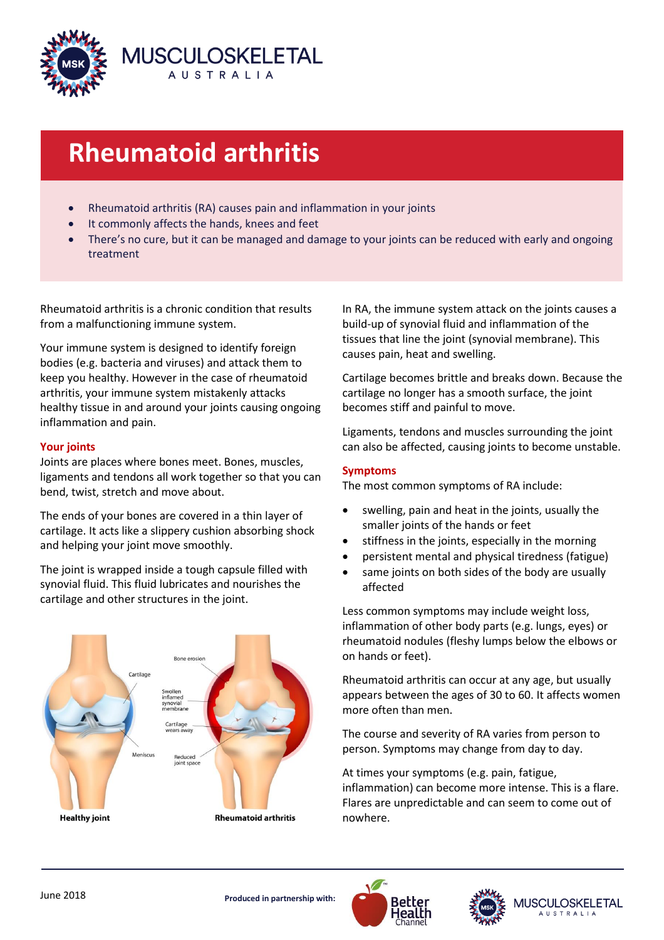

# **Rheumatoid arthritis**

- Rheumatoid arthritis (RA) causes pain and inflammation in your joints
- It commonly affects the hands, knees and feet
- There's no cure, but it can be managed and damage to your joints can be reduced with early and ongoing treatment

Rheumatoid arthritis is a chronic condition that results from a malfunctioning immune system.

Your immune system is designed to identify foreign bodies (e.g. bacteria and viruses) and attack them to keep you healthy. However in the case of rheumatoid arthritis, your immune system mistakenly attacks healthy tissue in and around your joints causing ongoing inflammation and pain.

# **Your joints**

Joints are places where bones meet. Bones, muscles, ligaments and tendons all work together so that you can bend, twist, stretch and move about.

The ends of your bones are covered in a thin layer of cartilage. It acts like a slippery cushion absorbing shock and helping your joint move smoothly.

The joint is wrapped inside a tough capsule filled with synovial fluid. This fluid lubricates and nourishes the cartilage and other structures in the joint.



In RA, the immune system attack on the joints causes a build-up of synovial fluid and inflammation of the tissues that line the joint (synovial membrane). This causes pain, heat and swelling.

Cartilage becomes brittle and breaks down. Because the cartilage no longer has a smooth surface, the joint becomes stiff and painful to move.

Ligaments, tendons and muscles surrounding the joint can also be affected, causing joints to become unstable.

# **Symptoms**

The most common symptoms of RA include:

- swelling, pain and heat in the joints, usually the smaller joints of the hands or feet
- stiffness in the joints, especially in the morning
- persistent mental and physical tiredness (fatigue)
- same joints on both sides of the body are usually affected

Less common symptoms may include weight loss, inflammation of other body parts (e.g. lungs, eyes) or rheumatoid nodules (fleshy lumps below the elbows or on hands or feet).

Rheumatoid arthritis can occur at any age, but usually appears between the ages of 30 to 60. It affects women more often than men.

The course and severity of RA varies from person to person. Symptoms may change from day to day.

At times your symptoms (e.g. pain, fatigue, inflammation) can become more intense. This is a flare. Flares are unpredictable and can seem to come out of nowhere.



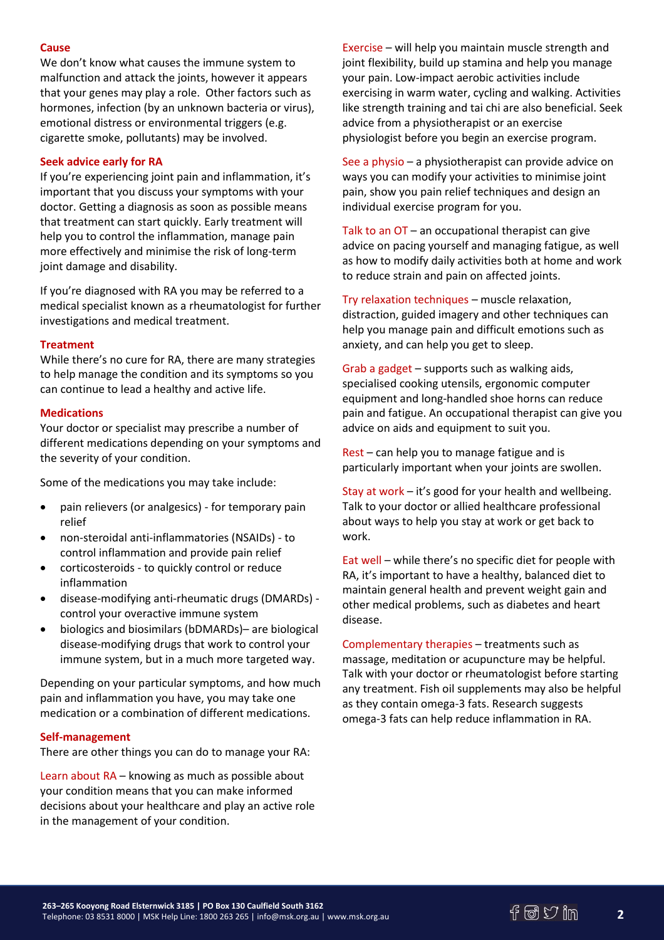### **Cause**

We don't know what causes the immune system to malfunction and attack the joints, however it appears that your genes may play a role. Other factors such as hormones, infection (by an unknown bacteria or virus), emotional distress or environmental triggers (e.g. cigarette smoke, pollutants) may be involved.

## **Seek advice early for RA**

If you're experiencing joint pain and inflammation, it's important that you discuss your symptoms with your doctor. Getting a diagnosis as soon as possible means that treatment can start quickly. Early treatment will help you to control the inflammation, manage pain more effectively and minimise the risk of long-term joint damage and disability.

If you're diagnosed with RA you may be referred to a medical specialist known as a rheumatologist for further investigations and medical treatment.

#### **Treatment**

While there's no cure for RA, there are many strategies to help manage the condition and its symptoms so you can continue to lead a healthy and active life.

#### **Medications**

Your doctor or specialist may prescribe a number of different medications depending on your symptoms and the severity of your condition.

Some of the medications you may take include:

- pain relievers (or analgesics) for temporary pain relief
- non-steroidal anti-inflammatories (NSAIDs) to control inflammation and provide pain relief
- corticosteroids to quickly control or reduce inflammation
- disease-modifying anti-rheumatic drugs (DMARDs) control your overactive immune system
- biologics and biosimilars (bDMARDs)– are biological disease-modifying drugs that work to control your immune system, but in a much more targeted way.

Depending on your particular symptoms, and how much pain and inflammation you have, you may take one medication or a combination of different medications.

#### **Self-management**

There are other things you can do to manage your RA:

Learn about RA – knowing as much as possible about your condition means that you can make informed decisions about your healthcare and play an active role in the management of your condition.

Exercise – will help you maintain muscle strength and joint flexibility, build up stamina and help you manage your pain. Low-impact aerobic activities include exercising in warm water, cycling and walking. Activities like strength training and tai chi are also beneficial. Seek advice from a physiotherapist or an exercise physiologist before you begin an exercise program.

See a physio – a physiotherapist can provide advice on ways you can modify your activities to minimise joint pain, show you pain relief techniques and design an individual exercise program for you.

Talk to an OT – an occupational therapist can give advice on pacing yourself and managing fatigue, as well as how to modify daily activities both at home and work to reduce strain and pain on affected joints.

Try relaxation techniques – muscle relaxation, distraction, guided imagery and other techniques can help you manage pain and difficult emotions such as anxiety, and can help you get to sleep.

Grab a gadget – supports such as walking aids, specialised cooking utensils, ergonomic computer equipment and long-handled shoe horns can reduce pain and fatigue. An occupational therapist can give you advice on aids and equipment to suit you.

Rest – can help you to manage fatigue and is particularly important when your joints are swollen.

Stay at work – it's good for your health and wellbeing. Talk to your doctor or allied healthcare professional about ways to help you stay at work or get back to work.

Eat well – while there's no specific diet for people with RA, it's important to have a healthy, balanced diet to maintain general health and prevent weight gain and other medical problems, such as diabetes and heart disease.

Complementary therapies – treatments such as massage, meditation or acupuncture may be helpful. Talk with your doctor or rheumatologist before starting any treatment. Fish oil supplements may also be helpful as they contain omega-3 fats. Research suggests omega-3 fats can help reduce inflammation in RA.